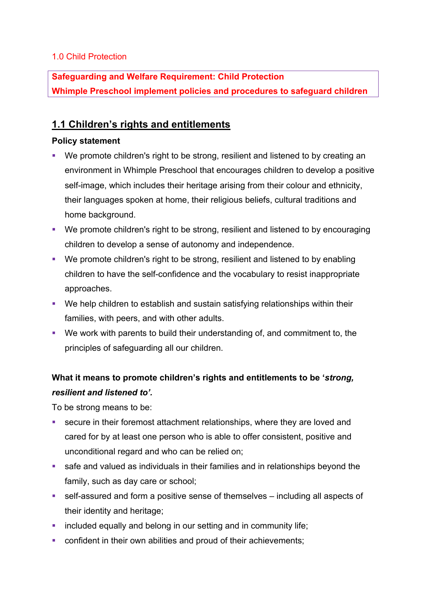## 1.0 Child Protection

**Safeguarding and Welfare Requirement: Child Protection Whimple Preschool implement policies and procedures to safeguard children**

## **1.1 Children's rights and entitlements**

## **Policy statement**

- We promote children's right to be strong, resilient and listened to by creating an environment in Whimple Preschool that encourages children to develop a positive self-image, which includes their heritage arising from their colour and ethnicity, their languages spoken at home, their religious beliefs, cultural traditions and home background.
- We promote children's right to be strong, resilient and listened to by encouraging children to develop a sense of autonomy and independence.
- § We promote children's right to be strong, resilient and listened to by enabling children to have the self-confidence and the vocabulary to resist inappropriate approaches.
- We help children to establish and sustain satisfying relationships within their families, with peers, and with other adults.
- We work with parents to build their understanding of, and commitment to, the principles of safeguarding all our children.

## **What it means to promote children's rights and entitlements to be '***strong, resilient and listened to'.*

To be strong means to be:

- secure in their foremost attachment relationships, where they are loved and cared for by at least one person who is able to offer consistent, positive and unconditional regard and who can be relied on;
- safe and valued as individuals in their families and in relationships beyond the family, such as day care or school;
- self-assured and form a positive sense of themselves including all aspects of their identity and heritage;
- included equally and belong in our setting and in community life;
- confident in their own abilities and proud of their achievements;